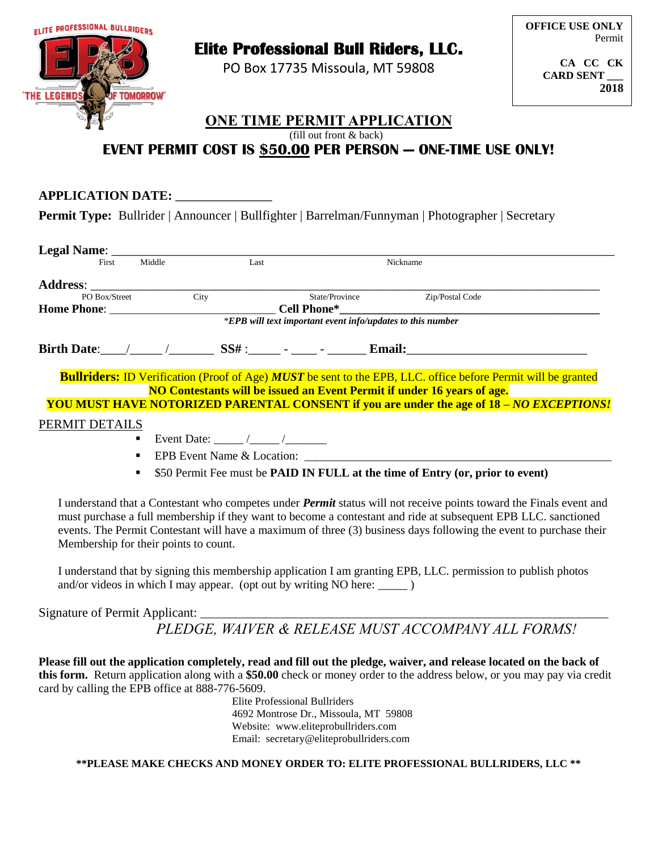

# **Elite Professional Bull Riders, LLC.**

PO Box 17735 Missoula, MT 59808

**CA CC CK CARD SENT \_\_\_ 2018**

#### **ONE TIME PERMIT APPLICATION** (fill out front & back)

## **EVENT PERMIT COST IS \$50.00 PER PERSON - ONE-TIME USE ONLY!**

| <b>APPLICATION DATE:</b>                                                                                |
|---------------------------------------------------------------------------------------------------------|
| <b>Permit Type:</b> Bullrider   Announcer   Bullfighter   Barrelman/Funnyman   Photographer   Secretary |

| First                                                        | Middle         | Last |  |  | Nickname                                                                                                                                                                                                                                                                                                                                                           |  |  |
|--------------------------------------------------------------|----------------|------|--|--|--------------------------------------------------------------------------------------------------------------------------------------------------------------------------------------------------------------------------------------------------------------------------------------------------------------------------------------------------------------------|--|--|
|                                                              |                |      |  |  |                                                                                                                                                                                                                                                                                                                                                                    |  |  |
| PO Box/Street                                                |                | City |  |  | State/Province Zip/Postal Code                                                                                                                                                                                                                                                                                                                                     |  |  |
|                                                              |                |      |  |  |                                                                                                                                                                                                                                                                                                                                                                    |  |  |
| $*EPB$ will text important event info/updates to this number |                |      |  |  |                                                                                                                                                                                                                                                                                                                                                                    |  |  |
|                                                              |                |      |  |  | Birth Date: $\angle$ / SS# : $\angle$ - $\angle$ Email:                                                                                                                                                                                                                                                                                                            |  |  |
|                                                              |                |      |  |  | <b>Bullriders:</b> ID Verification (Proof of Age) <b>MUST</b> be sent to the EPB, LLC. office before Permit will be granted<br>NO Contestants will be issued an Event Permit if under 16 years of age.                                                                                                                                                             |  |  |
|                                                              |                |      |  |  | <b>YOU MUST HAVE NOTORIZED PARENTAL CONSENT if you are under the age of 18 – NO EXCEPTIONS!</b>                                                                                                                                                                                                                                                                    |  |  |
| PERMIT DETAILS                                               |                |      |  |  |                                                                                                                                                                                                                                                                                                                                                                    |  |  |
|                                                              | $\blacksquare$ |      |  |  |                                                                                                                                                                                                                                                                                                                                                                    |  |  |
|                                                              | ٠              |      |  |  | EPB Event Name & Location:                                                                                                                                                                                                                                                                                                                                         |  |  |
|                                                              | ٠              |      |  |  | \$50 Permit Fee must be <b>PAID IN FULL at the time of Entry (or, prior to event)</b>                                                                                                                                                                                                                                                                              |  |  |
| Membership for their points to count.                        |                |      |  |  | I understand that a Contestant who competes under <i>Permit</i> status will not receive points toward the Finals event and<br>must purchase a full membership if they want to become a contestant and ride at subsequent EPB LLC. sanctioned<br>events. The Permit Contestant will have a maximum of three (3) business days following the event to purchase their |  |  |

I understand that by signing this membership application I am granting EPB, LLC. permission to publish photos and/or videos in which I may appear. (opt out by writing NO here:  $\qquad$ )

Signature of Permit Applicant:

 *PLEDGE, WAIVER & RELEASE MUST ACCOMPANY ALL FORMS!*

**Please fill out the application completely, read and fill out the pledge, waiver, and release located on the back of this form.** Return application along with a **\$50.00** check or money order to the address below, or you may pay via credit card by calling the EPB office at 888-776-5609.

Elite Professional Bullriders 4692 Montrose Dr., Missoula, MT 59808 Website: www.eliteprobullriders.com Email: secretary@eliteprobullriders.com

**\*\*PLEASE MAKE CHECKS AND MONEY ORDER TO: ELITE PROFESSIONAL BULLRIDERS, LLC \*\***